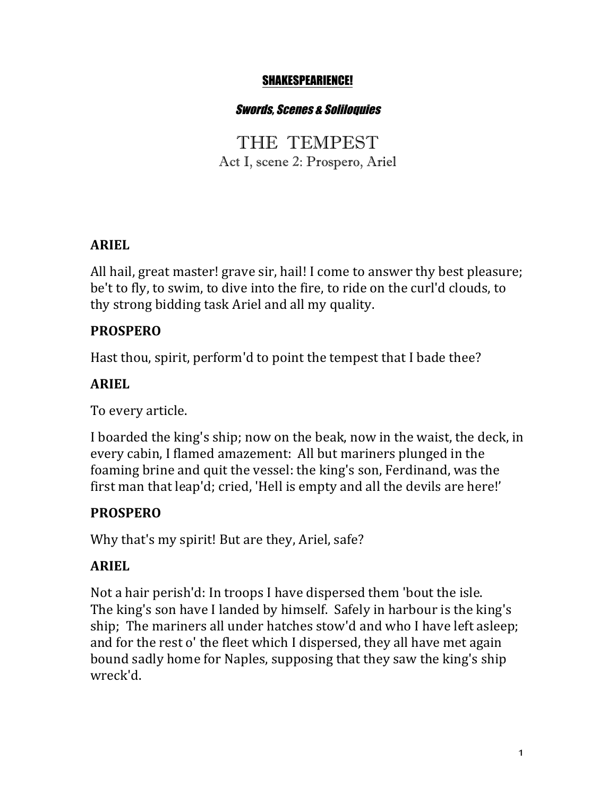#### SHAKESPEARIENCE!

#### Swords, Scenes & Soliloquies

THE TEMPEST Act I, scene 2: Prospero, Ariel

#### **ARIEL**

All hail, great master! grave sir, hail! I come to answer thy best pleasure; be't to fly, to swim, to dive into the fire, to ride on the curl'd clouds, to thy strong bidding task Ariel and all my quality.

#### **PROSPERO**

Hast thou, spirit, perform'd to point the tempest that I bade thee?

#### **ARIEL**

To every article.

I boarded the king's ship; now on the beak, now in the waist, the deck, in every cabin, I flamed amazement: All but mariners plunged in the foaming brine and quit the vessel: the king's son, Ferdinand, was the first man that leap'd; cried, 'Hell is empty and all the devils are here!'

### **PROSPERO**

Why that's my spirit! But are they, Ariel, safe?

### **ARIEL**

Not a hair perish'd: In troops I have dispersed them 'bout the isle. The king's son have I landed by himself. Safely in harbour is the king's ship; The mariners all under hatches stow'd and who I have left asleep; and for the rest o' the fleet which I dispersed, they all have met again bound sadly home for Naples, supposing that they saw the king's ship wreck'd.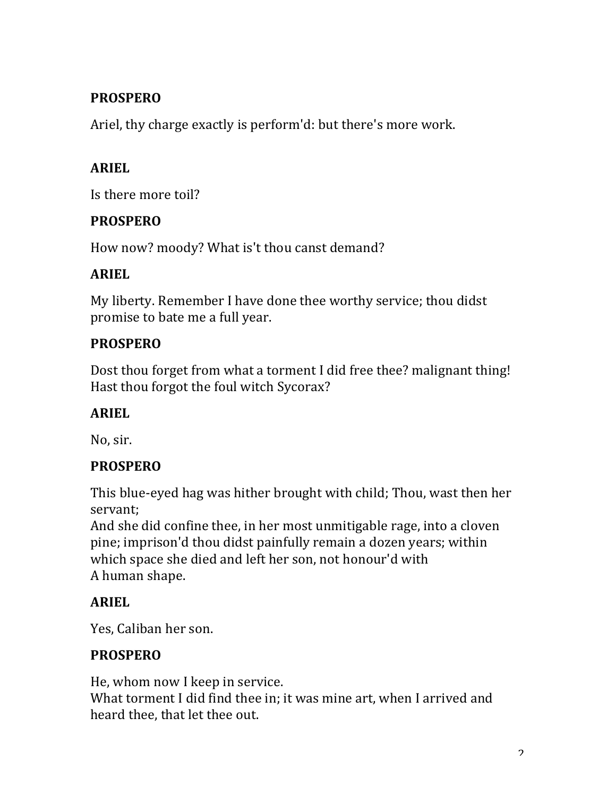# **PROSPERO**

Ariel, thy charge exactly is perform'd: but there's more work.

# **ARIEL**

Is there more toil?

### **PROSPERO**

How now? moody? What is't thou canst demand?

### **ARIEL**

My liberty. Remember I have done thee worthy service; thou didst promise to bate me a full year.

### **PROSPERO**

Dost thou forget from what a torment I did free thee? malignant thing! Hast thou forgot the foul witch Sycorax?

## **ARIEL**

No, sir.

## **PROSPERO**

This blue-eyed hag was hither brought with child; Thou, wast then her servant;

And she did confine thee, in her most unmitigable rage, into a cloven pine; imprison'd thou didst painfully remain a dozen years; within which space she died and left her son, not honour'd with A human shape.

## **ARIEL**

Yes, Caliban her son.

## **PROSPERO**

He, whom now I keep in service. What torment I did find thee in; it was mine art, when I arrived and heard thee, that let thee out.